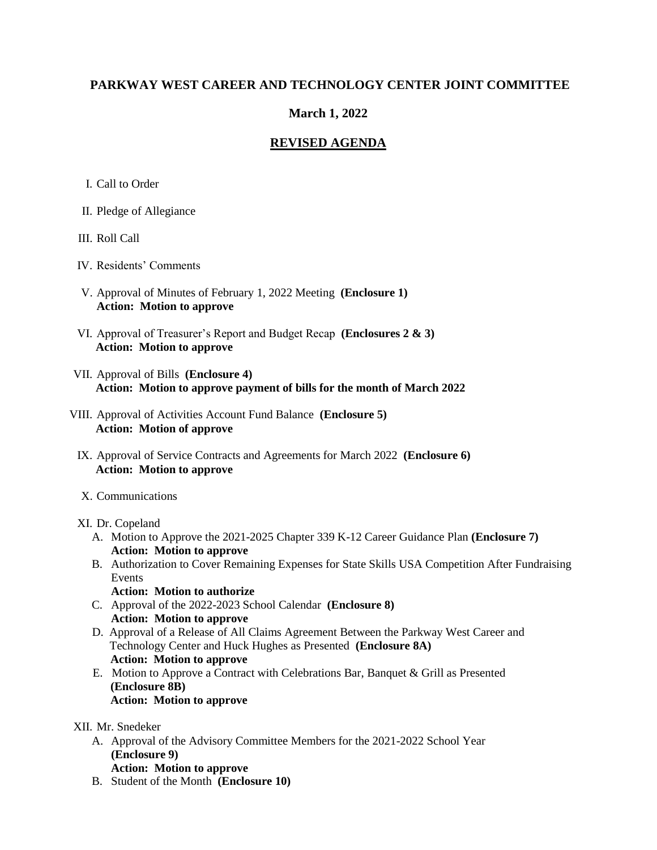# **PARKWAY WEST CAREER AND TECHNOLOGY CENTER JOINT COMMITTEE**

# **March 1, 2022**

## **REVISED AGENDA**

- I. Call to Order
- II. Pledge of Allegiance
- III. Roll Call
- IV. Residents' Comments
- V. Approval of Minutes of February 1, 2022 Meeting **(Enclosure 1) Action: Motion to approve**
- VI. Approval of Treasurer's Report and Budget Recap **(Enclosures 2 & 3) Action: Motion to approve**
- VII. Approval of Bills **(Enclosure 4) Action: Motion to approve payment of bills for the month of March 2022**
- VIII. Approval of Activities Account Fund Balance **(Enclosure 5) Action: Motion of approve**
	- IX. Approval of Service Contracts and Agreements for March 2022 **(Enclosure 6) Action: Motion to approve**
	- X. Communications
	- XI. Dr. Copeland
		- A. Motion to Approve the 2021-2025 Chapter 339 K-12 Career Guidance Plan **(Enclosure 7) Action: Motion to approve**
		- B. Authorization to Cover Remaining Expenses for State Skills USA Competition After Fundraising Events
		- **Action: Motion to authorize** C. Approval of the 2022-2023 School Calendar **(Enclosure 8) Action: Motion to approve**
		- D. Approval of a Release of All Claims Agreement Between the Parkway West Career and Technology Center and Huck Hughes as Presented **(Enclosure 8A) Action: Motion to approve**
		- E. Motion to Approve a Contract with Celebrations Bar, Banquet & Grill as Presented **(Enclosure 8B) Action: Motion to approve**

#### XII. Mr. Snedeker

- A. Approval of the Advisory Committee Members for the 2021-2022 School Year **(Enclosure 9) Action: Motion to approve**
- B. Student of the Month **(Enclosure 10)**